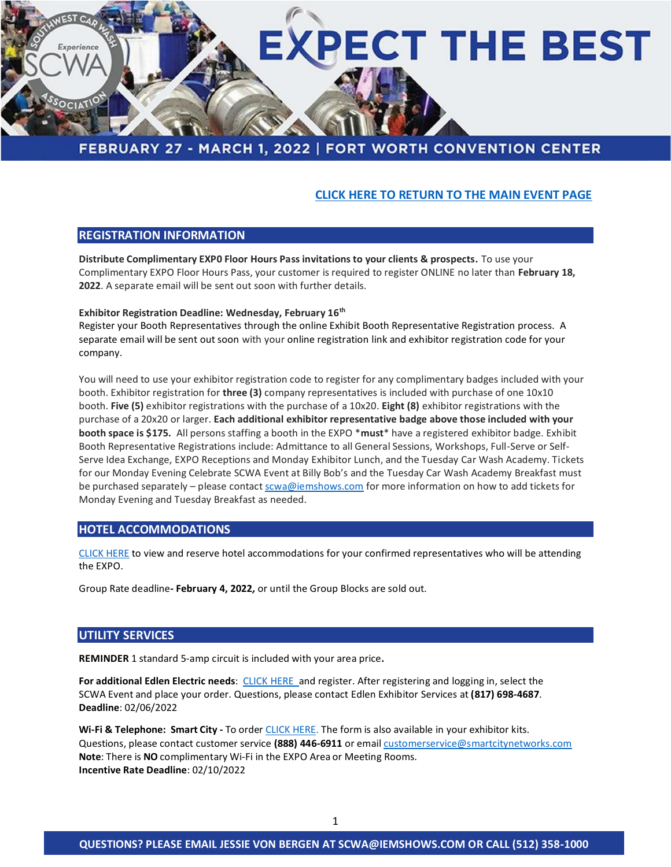

# FEBRUARY 27 - MARCH 1, 2022 | FORT WORTH CONVENTION CENTER

# **[CLICK HERE TO RETURN TO THE MAIN EVENT PAGE](https://swcarwash.org/events/2022-convention-expo)**

## **REGISTRATION INFORMATION**

**Distribute Complimentary EXP0 Floor Hours Pass invitations to your clients & prospects.** To use your Complimentary EXPO Floor Hours Pass, your customer is required to register ONLINE no later than **February 18, 2022**. A separate email will be sent out soon with further details.

#### **Exhibitor Registration Deadline: Wednesday, February 16th**

Register your Booth Representatives through the online Exhibit Booth Representative Registration process. A separate email will be sent out soon with your online registration link and exhibitor registration code for your company.

You will need to use your exhibitor registration code to register for any complimentary badges included with your booth. Exhibitor registration for **three (3)** company representatives is included with purchase of one 10x10 booth. **Five (5)** exhibitor registrations with the purchase of a 10x20. **Eight (8)** exhibitor registrations with the purchase of a 20x20 or larger. **Each additional exhibitor representative badge above those included with your booth space is \$175.** All persons staffing a booth in the EXPO \***must**\* have a registered exhibitor badge. Exhibit Booth Representative Registrations include: Admittance to all General Sessions, Workshops, Full-Serve or Self-Serve Idea Exchange, EXPO Receptions and Monday Exhibitor Lunch, and the Tuesday Car Wash Academy. Tickets for our Monday Evening Celebrate SCWA Event at Billy Bob's and the Tuesday Car Wash Academy Breakfast must be purchased separately – please contact [scwa@iemshows.com](mailto:scwa@iemshows.com) for more information on how to add tickets for Monday Evening and Tuesday Breakfast as needed.

# **HOTEL ACCOMMODATIONS**

[CLICK HERE](http://www.swcarwash.org/events/hotel-options) to view and reserve hotel accommodations for your confirmed representatives who will be attending the EXPO.

Group Rate deadline*-* **February 4, 2022***,* or until the Group Blocks are sold out.

### **UTILITY SERVICES**

**REMINDER** 1 standard 5-amp circuit is included with your area price**.** 

**For additional Edlen Electric needs**: [CLICK HERE](https://ordering.edlen.com/) and register. After registering and logging in, select the SCWA Event and place your order. Questions, please contact Edlen Exhibitor Services at **(817) 698-4687**. **Deadline**: 02/06/2022

**Wi-Fi & Telephone: Smart City -** To order [CLICK HERE.](https://orders.smartcitynetworks.com/login?ReturnUrl=%2F) The form is also available in your exhibitor kits. Questions, please contact customer service **(888) 446-6911** or emai[l customerservice@smartcitynetworks.com](mailto:customerservice@smartcitynetworks.com) **Note**: There is **NO** complimentary Wi-Fi in the EXPO Area or Meeting Rooms. **Incentive Rate Deadline**: 02/10/2022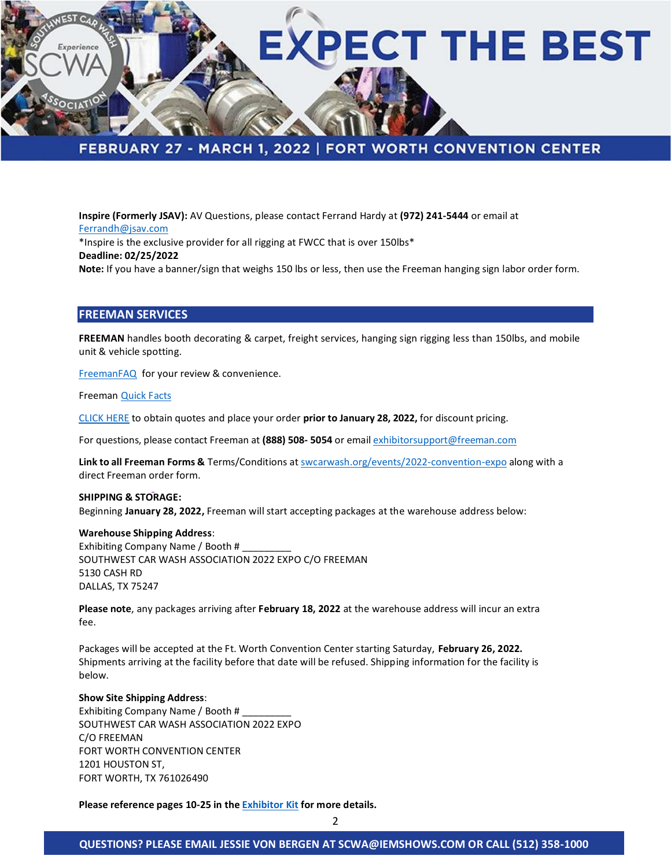

**Inspire (Formerly JSAV):** AV Questions, please contact Ferrand Hardy at **(972) 241-5444** or email at [Ferrandh@jsav.com](mailto:Ferrandh@jsav.com) \*Inspire is the exclusive provider for all rigging at FWCC that is over 150lbs\* **Deadline: 02/25/2022 Note:** If you have a banner/sign that weighs 150 lbs or less, then use the Freeman hanging sign labor order form.

# **FREEMAN SERVICES**

**FREEMAN** handles booth decorating & carpet, freight services, hanging sign rigging less than 150lbs, and mobile unit & vehicle spotting.

[FreemanFAQ](https://www.freemanco.com/store/faqs) for your review & convenience.

Freeman [Quick Facts](http://iemvirtual.com/wp-content/uploads/Quick-Facts.pdf)

[CLICK HERE](https://www.freemanco.com/store/?utm_source=Forms&utm_medium=PDF) to obtain quotes and place your order **prior to January 28, 2022,** for discount pricing.

For questions, please contact Freeman at **(888) 508- 5054** or email [exhibitorsupport@freeman.com](mailto:exhibitorsupport@freeman.com)

**Link to all Freeman Forms &** Terms/Conditions at [swcarwash.org/events/2022-convention-expo](https://swcarwash.org/events/2022-convention-expo) along with a direct Freeman order form.

### **SHIPPING & STORAGE:**  Beginning **January 28, 2022,** Freeman will start accepting packages at the warehouse address below:

#### **Warehouse Shipping Address**:

Exhibiting Company Name / Booth # SOUTHWEST CAR WASH ASSOCIATION 2022 EXPO C/O FREEMAN 5130 CASH RD DALLAS, TX 75247

**Please note**, any packages arriving after **February 18, 2022** at the warehouse address will incur an extra fee.

Packages will be accepted at the Ft. Worth Convention Center starting Saturday, **February 26, 2022.** Shipments arriving at the facility before that date will be refused. Shipping information for the facility is below.

#### **Show Site Shipping Address**:

Exhibiting Company Name / Booth # \_\_\_\_\_\_\_\_\_ SOUTHWEST CAR WASH ASSOCIATION 2022 EXPO C/O FREEMAN FORT WORTH CONVENTION CENTER 1201 HOUSTON ST, FORT WORTH, TX 761026490

**Please reference pages 10-25 in the [Exhibitor Kit](https://iemvirtual.com/wp-content/uploads/SCWA-2022-Exhibitor-Kit.pdf) for more details.**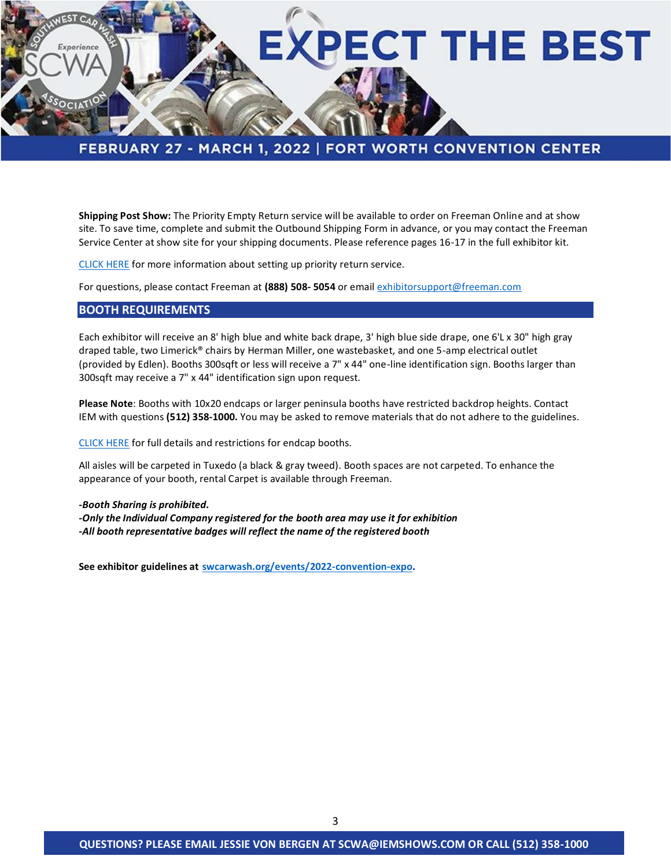

**Shipping Post Show:** The Priority Empty Return service will be available to order on Freeman Online and at show site. To save time, complete and submit the Outbound Shipping Form in advance, or you may contact the Freeman Service Center at show site for your shipping documents. Please reference pages 16-17 in the full exhibitor kit.

[CLICK HERE](https://www.freemanco.com/store/product-detail-page?categoryId=59-8&showID=506823&productId=57411000) for more information about setting up priority return service.

For questions, please contact Freeman at **(888) 508- 5054** or email [exhibitorsupport@freeman.com](mailto:exhibitorsupport@freeman.com)

### **BOOTH REQUIREMENTS**

Each exhibitor will receive an 8' high blue and white back drape, 3' high blue side drape, one 6'L x 30" high gray draped table, two Limerick® chairs by Herman Miller, one wastebasket, and one 5-amp electrical outlet (provided by Edlen). Booths 300sqft or less will receive a 7" x 44" one-line identification sign. Booths larger than 300sqft may receive a 7" x 44" identification sign upon request.

**Please Note**: Booths with 10x20 endcaps or larger peninsula booths have restricted backdrop heights. Contact IEM with questions **(512) 358-1000.** You may be asked to remove materials that do not adhere to the guidelines.

[CLICK HERE](https://iemvirtual.com/wp-content/uploads/2022-SCWA-End-Cap-Restrictions.pdf) for full details and restrictions for endcap booths.

All aisles will be carpeted in Tuxedo (a black & gray tweed). Booth spaces are not carpeted. To enhance the appearance of your booth, rental Carpet is available through Freeman.

*-Booth Sharing is prohibited. -Only the Individual Company registered for the booth area may use it for exhibition -All booth representative badges will reflect the name of the registered booth*

**See exhibitor guidelines at [swcarwash.org/events/2022-convention-expo.](https://swcarwash.org/events/2022-convention-expo)**